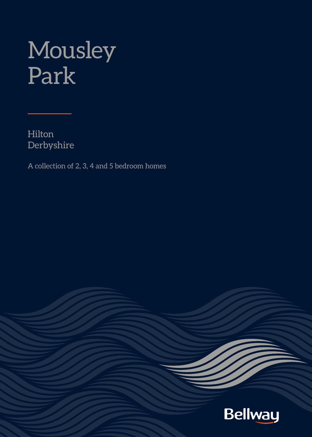# Mousley Park

Hilton Derbyshire

A collection of 2, 3, 4 and 5 bedroom homes

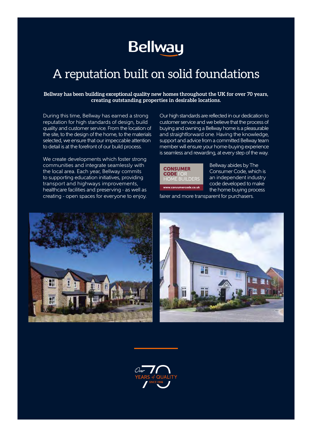## **Bellway**

### A reputation built on solid foundations

#### **Bellway has been building exceptional quality new homes throughout the UK for over 70 years, creating outstanding properties in desirable locations.**

During this time, Bellway has earned a strong reputation for high standards of design, build quality and customer service. From the location of the site, to the design of the home, to the materials selected, we ensure that our impeccable attention to detail is at the forefront of our build process.

We create developments which foster strong communities and integrate seamlessly with the local area. Each year, Bellway commits to supporting education initiatives, providing transport and highways improvements, healthcare facilities and preserving - as well as creating - open spaces for everyone to enjoy. Our high standards are reflected in our dedication to customer service and we believe that the process of buying and owning a Bellway home is a pleasurable and straightforward one. Having the knowledge, support and advice from a committed Bellway team member will ensure your home-buying experience is seamless and rewarding, at every step of the way.



Bellway abides by The Consumer Code, which is an independent industry code developed to make the home buying process fairer and more transparent for purchasers.





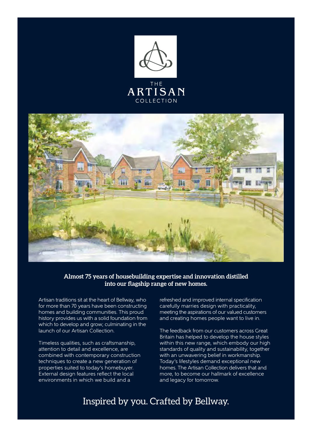



#### **Almost 75 years of housebuilding expertise and innovation distilled into our flagship range of new homes.**

Artisan traditions sit at the heart of Bellway, who for more than 70 years have been constructing homes and building communities. This proud history provides us with a solid foundation from which to develop and grow; culminating in the launch of our Artisan Collection.

Timeless qualities, such as craftsmanship, attention to detail and excellence, are combined with contemporary construction techniques to create a new generation of properties suited to today's homebuyer. External design features reflect the local environments in which we build and a

refreshed and improved internal specification carefully marries design with practicality, meeting the aspirations of our valued customers and creating homes people want to live in.

The feedback from our customers across Great Britain has helped to develop the house styles within this new range, which embody our high standards of quality and sustainability, together with an unwavering belief in workmanship. Today's lifestyles demand exceptional new homes. The Artisan Collection delivers that and more, to become our hallmark of excellence and legacy for tomorrow.

### Inspired by you. Crafted by Bellway.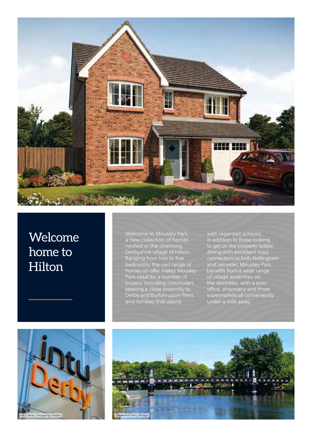

### Welcome home to Hilton

Welcome to Mousley Park, a new collection of homes nestled in the charming Derbyshire village of Hilton. Ranging from two to five bedrooms, the vast range of homes on offer makes Mousley Park ideal for a number of buyers, including commuters seeking a close proximity to Derby and Burton-upon-Trent and families that desire

well-regarded schools, in addition to those looking to get on the property ladder. Along with excellent road connections to both Nottingham and Leicester, Mousley Park benefits from a wide range of village amenities on the doorstep, with a post office, pharmacy and three supermarkets all conveniently under a mile away.



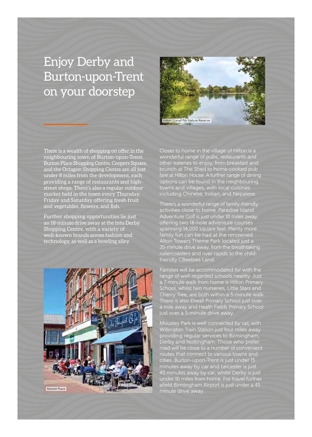### Enjoy Derby and Burton-upon-Trent on your doorstep



There is a wealth of shopping on offer in the neighbouring town of Burton-upon-Trent. Burton Place Shopping Centre, Coopers Square, and the Octagon Shopping Centre are all just under 8 miles from the development, each providing a range of restaurants and highstreet shops. There's also a regular outdoor market held in the town every Thursday, Friday and Saturday offering fresh fruit and vegetables, flowers, and fish.

Further shopping opportunities lie just an 18-minute drive away at the intu Derby Shopping Centre, with a variety of well-known brands across fashion and technology, as well as a bowling alley.



Closer to home in the village of Hilton is a wonderful range of pubs, restaurants and other eateries to enjoy, from breakfast and brunch at The Shed to home-cooked pub fare at Hilton House. A further range of dining options can be found in the neighbouring towns and villages, with local cuisines including Chinese, Indian, and Nepalese.

There's a wonderful range of family-friendly activities close to home. Paradise Island Adventure Golf is just under 10 miles away, offering two 18-hole adventure courses spanning 14,000 square feet. Plenty more family fun can be had at the renowned Alton Towers Theme Park located just a 35-minute drive away, from the breathtaking rollercoasters and river rapids to the childfriendly CBeebies Land.

Families will be accommodated for with the range of well-regarded schools nearby. Just a 7-minute walk from home is Hilton Primary School, whilst two nurseries, Little Stars and Cherry Tree, are both within a 5-minute walk. There is also Etwall Primary School just over a mile away and Heath Fields Primary School just over a 5-minute drive away.

Mousley Park is well connected by rail, with Willington Train Station just four miles away providing regular services to Birmingham, Derby and Nottingham. Those who prefer road will be close to a number of convenient routes that connect to various towns and cities. Burton-upon-Trent is just under 15 minutes away by car and Leicester is just 45 minutes away by car, whilst Derby is just under 10 miles from home. For travel further afield Birmingham Airport is just under a 45 minute drive away.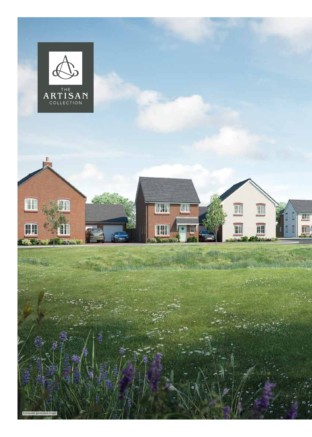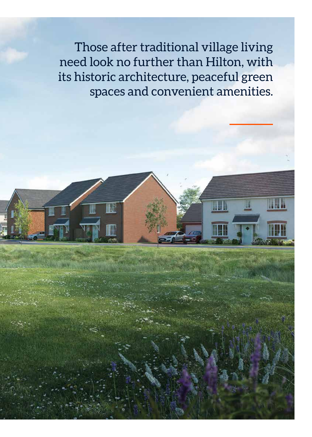Those after traditional village living need look no further than Hilton, with its historic architecture, peaceful green spaces and convenient amenities.

W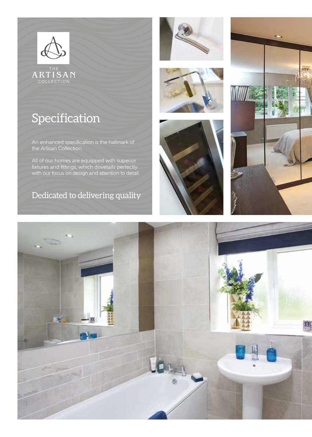

ARTISAN

### Specification

An enhanced specification is the hallmark of the Artisan Collection.

All of our homes are equipped with superior fixtures and fittings, which dovetails perfectly with our focus on design and attention to detail.

Dedicated to delivering quality









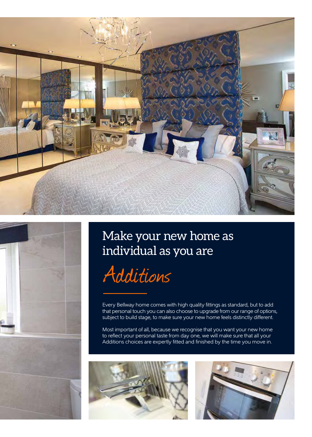





### Make your new home as individual as you are



Every Bellway home comes with high quality fittings as standard, but to add that personal touch you can also choose to upgrade from our range of options, subject to build stage, to make sure your new home feels distinctly different.

Most important of all, because we recognise that you want your new home to reflect your personal taste from day one, we will make sure that all your Additions choices are expertly fitted and finished by the time you move in.



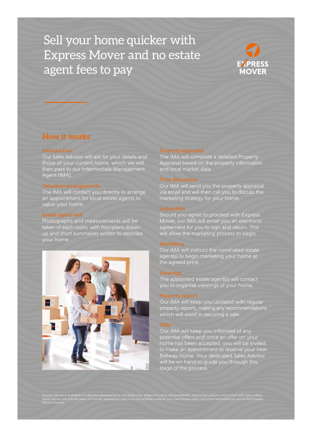### Sell your home quicker with Express Mover and no estate agent fees to pay



### **How it works**

#### **Introduction**

Our Sales Advisor will ask for your details and those of your current home, which we will then pass to our Intermediate Management Agent (IMA).

#### Valuation arrangements

The IMA will contact you directly to arrange an appointment for local estate agents to value your home.

#### Estate agent visit

Photographs and measurements will be taken of each room, with floorplans drawn up and short summaries written to describe



#### Property appraisal

The IMA will complete a detailed Property Appraisal based on the property information and local market data.

Our IMA will send you the property appraisal via email and will then call you to discuss the marketing strategy for your home.

#### Instruction

Should you agree to proceed with Express Mover, our IMA will email you an electronic agreement for you to sign and return. This will allow the marketing process to begin.

#### Marketing

Our IMA will instruct the nominated estate agent(s) to begin marketing your home at the agreed price.

#### Viewings

The appointed estate agent(s) will contact you to organise viewings of your home.

#### Property report

Our IMA will keep you updated with regular property reports, making any recommendations which will assist in securing a sale.

#### **Offer**

Our IMA will keep you informed of any potential offers and once an offer on your home has been accepted, you will be invited to make an appointment to reserve your new Bellway Home. Your dedicated Sales Advisor will be on hand to guide you through this stage of the process.

Express Mover is available on selected developments and plots only, subject to status and availability. Cannot be used in conjunction with other offers.<br>Reservations can only be taken on homes released for sale once you ac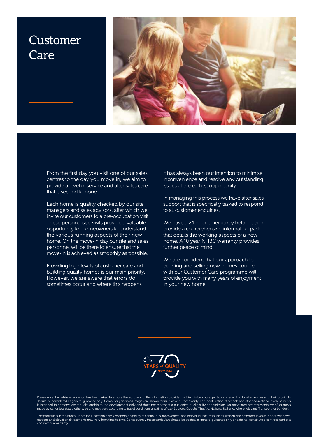### Customer Care



From the first day you visit one of our sales centres to the day you move in, we aim to provide a level of service and after-sales care that is second to none.

Each home is quality checked by our site managers and sales advisors, after which we invite our customers to a pre-occupation visit. These personalised visits provide a valuable opportunity for homeowners to understand the various running aspects of their new home. On the move-in day our site and sales personnel will be there to ensure that the move-in is achieved as smoothly as possible.

Providing high levels of customer care and building quality homes is our main priority. However, we are aware that errors do sometimes occur and where this happens

it has always been our intention to minimise inconvenience and resolve any outstanding issues at the earliest opportunity.

In managing this process we have after sales support that is specifically tasked to respond to all customer enquiries.

We have a 24 hour emergency helpline and provide a comprehensive information pack that details the working aspects of a new home. A 10 year NHBC warranty provides further peace of mind.

We are confident that our approach to building and selling new homes coupled with our Customer Care programme will provide you with many years of enjoyment in your new home.



Please note that while every effort has been taken to ensure the accuracy of the information provided within this brochure, particulars regarding local amenities and their proximity should be considered as general guidance only. Computer generated images are shown for illustrative purposes only. The identification of schools and other educational establishments<br>is intended to demonstrate the relations

The particulars in this brochure are for illustration only. We operate a policy of continuous improvement and individual features such as kitchen and bathroom layouts, doors, windows,<br>garages and elevational treatments may